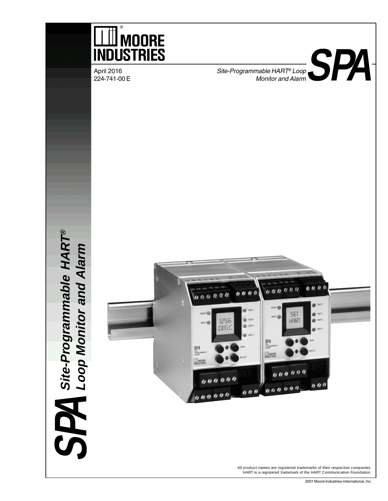

2001 Moore Industries-International, Inc.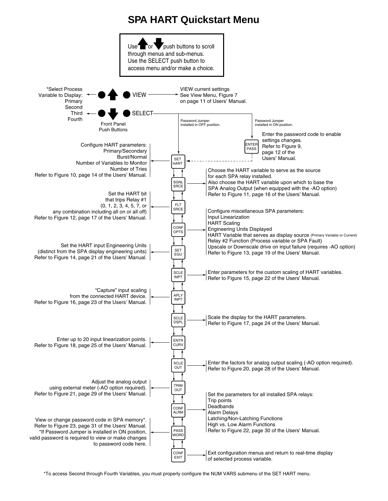## **SPA HART Quickstart Menu**



\*To access Second through Fourth Variables, you must properly configure the NUM VARS submenu of the SET HART menu.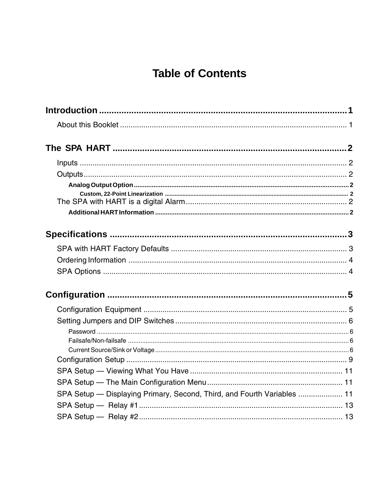# **Table of Contents**

| SPA Setup — Displaying Primary, Second, Third, and Fourth Variables  11 |  |
|-------------------------------------------------------------------------|--|
|                                                                         |  |
|                                                                         |  |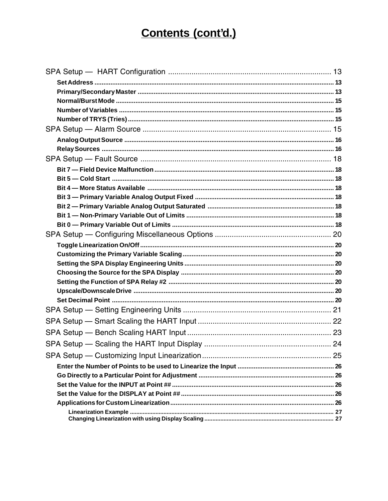# Contents (cont'd.)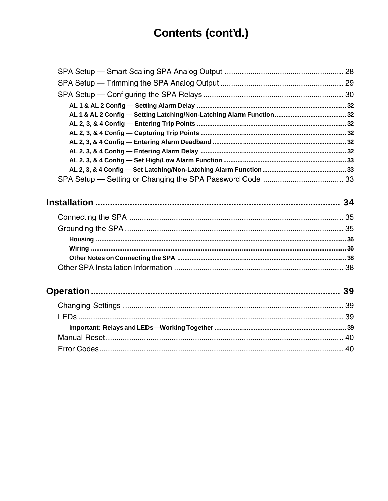# Contents (cont'd.)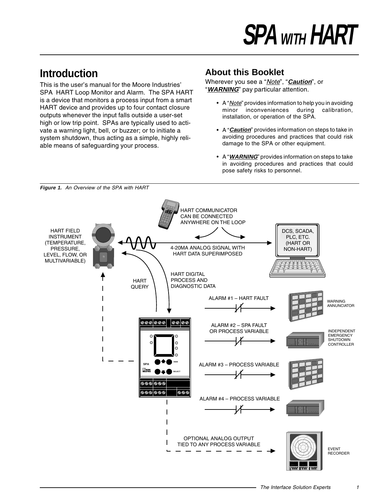# **Introduction**

This is the user's manual for the Moore Industries' SPA HART Loop Monitor and Alarm. The SPA HART is a device that monitors a process input from a smart HART device and provides up to four contact closure outputs whenever the input falls outside a user-set high or low trip point. SPAs are typically used to activate a warning light, bell, or buzzer; or to initiate a system shutdown, thus acting as a simple, highly reliable means of safeguarding your process.

## **About this Booklet**

Wherever you see a "Note", "**Caution**", or "**WARNING**" pay particular attention.

- A "*Note*" provides information to help you in avoiding minor inconveniences during calibration, installation, or operation of the SPA.
- A "**Caution**" provides information on steps to take in avoiding procedures and practices that could risk damage to the SPA or other equipment.
- A "**WARNING**" provides information on steps to take in avoiding procedures and practices that could pose safety risks to personnel.

HART COMMUNICATOR **MAT Communication O I** ➤ CAN BE CONNECTED  $2\sqrt{3}$ **<sup>4</sup> <sup>5</sup> <sup>6</sup> <sup>2</sup> <sup>3</sup>** ANYWHERE ON THE LOOP HART FIELD DCS, SCADA, INSTRUMENT PLC, ETC. (TEMPERATURE, (HART OR 4-20MA ANALOG SIGNAL WITH PRESSURE, NON-HART) HART DATA SUPERIMPOSED LEVEL, FLOW, OR MULTIVARIABLE) HART DIGITAL PROCESS AND HART DIAGNOSTIC DATA **QUERY** ALARM #1 – HART FAULT WARNING ANNUNCIATOR  $\circ\circ\circ\circ\circ$  $\circ\circ\circ$ ALARM #2 – SPA FAULT OR PROCESS VARIABLE INDEPENDENT **EMERGENCY**  $\circ$ **SHUTDOWN**  $\circ$ CONTROLLER C **SPA VIEW** ALARM #3 – PROCESS VARIABLE **WANGORE SELECT** ೲ 000 . . . . . 000 ALARM #4 – PROCESS VARIABLE ' jil OPTIONAL ANALOG OUTPUT TIED TO ANY PROCESS VARIABLE EVENT RECORDER

**Figure 1.** An Overview of the SPA with HART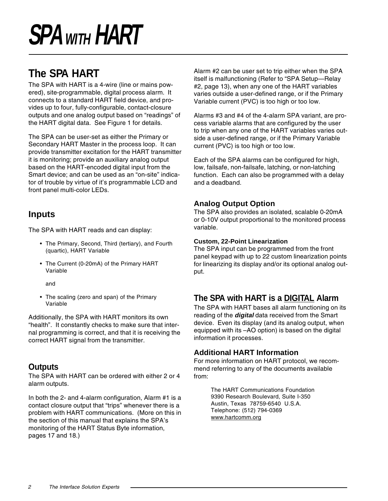# **The SPA HART**

The SPA with HART is a 4-wire (line or mains powered), site-programmable, digital process alarm. It connects to a standard HART field device, and provides up to four, fully-configurable, contact-closure outputs and one analog output based on "readings" of the HART digital data. See Figure 1 for details.

The SPA can be user-set as either the Primary or Secondary HART Master in the process loop. It can provide transmitter excitation for the HART transmitter it is monitoring; provide an auxiliary analog output based on the HART-encoded digital input from the Smart device; and can be used as an "on-site" indicator of trouble by virtue of it's programmable LCD and front panel multi-color LEDs.

### **Inputs**

The SPA with HART reads and can display:

- The Primary, Second, Third (tertiary), and Fourth (quartic), HART Variable
- The Current (0-20mA) of the Primary HART Variable

and

• The scaling (zero and span) of the Primary Variable

Additionally, the SPA with HART monitors its own "health". It constantly checks to make sure that internal programming is correct, and that it is receiving the correct HART signal from the transmitter.

### **Outputs**

The SPA with HART can be ordered with either 2 or 4 alarm outputs.

In both the 2- and 4-alarm configuration, Alarm #1 is a contact closure output that "trips" whenever there is a problem with HART communications. (More on this in the section of this manual that explains the SPA's monitoring of the HART Status Byte information, pages 17 and 18.)

Alarm #2 can be user set to trip either when the SPA itself is malfunctioning (Refer to "SPA Setup—Relay #2, page 13), when any one of the HART variables varies outside a user-defined range, or if the Primary Variable current (PVC) is too high or too low.

Alarms #3 and #4 of the 4-alarm SPA variant, are process variable alarms that are configured by the user to trip when any one of the HART variables varies outside a user-defined range, or if the Primary Variable current (PVC) is too high or too low.

Each of the SPA alarms can be configured for high, low, failsafe, non-failsafe, latching, or non-latching function. Each can also be programmed with a delay and a deadband.

### **Analog Output Option**

The SPA also provides an isolated, scalable 0-20mA or 0-10V output proportional to the monitored process variable.

### **Custom, 22-Point Linearization**

The SPA input can be programmed from the front panel keypad with up to 22 custom linearization points for linearizing its display and/or its optional analog output.

### **The SPA with HART is a DIGITAL Alarm**

The SPA with HART bases all alarm functioning on its reading of the **digital** data received from the Smart device. Even its display (and its analog output, when equipped with its –AO option) is based on the digital information it processes.

### **Additional HART Information**

For more information on HART protocol, we recommend referring to any of the documents available from:

> The HART Communications Foundation 9390 Research Boulevard, Suite I-350 Austin, Texas 78759-6540 U.S.A. Telephone: (512) 794-0369 www.hartcomm.org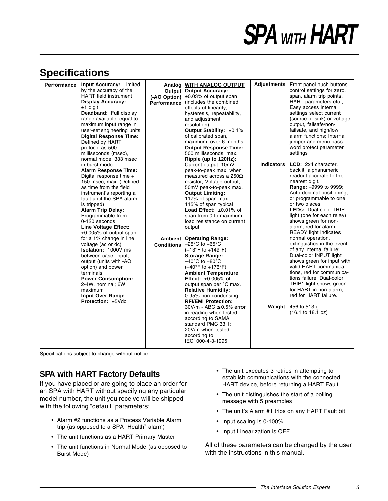## **Specifications**

| Performance Input Accuracy: Limited<br>by the accuracy of the<br><b>HART</b> field instrument<br><b>Display Accuracy:</b><br>±1 digit<br>Deadband: Full display<br>range available; equal to<br>maximum input range in<br>user-set engineering units<br><b>Digital Response Time:</b><br>Defined by HART<br>protocol as 500<br>milliseconds (msec),                                                                                                                                                                                                                                                                               | Analog WITH ANALOG OUTPUT<br><b>Output Output Accuracy:</b><br>(-AO Option) ±0.03% of output span<br>Performance (includes the combined<br>effects of linearity,<br>hysteresis, repeatability,<br>and adjustment<br>resolution)<br>Output Stability: $\pm 0.1\%$<br>of calibrated span,<br>maximum, over 6 months<br><b>Output Response Time:</b><br>500 milliseconds, max.                                                                                                                                                                                                                                                                                                                                                                                                                                                                                                                                 |            | Adjustments Front panel push buttons<br>control settings for zero,<br>span, alarm trip points,<br>HART parameters etc.;<br>Easy access internal<br>settings select current<br>(source or sink) or voltage<br>output, failsafe/non-<br>failsafe, and high/low<br>alarm functions; Internal<br>jumper and menu pass-<br>word protect parameter<br>settings                                                                                                                                                                                                                                                                                                                                                                    |
|-----------------------------------------------------------------------------------------------------------------------------------------------------------------------------------------------------------------------------------------------------------------------------------------------------------------------------------------------------------------------------------------------------------------------------------------------------------------------------------------------------------------------------------------------------------------------------------------------------------------------------------|-------------------------------------------------------------------------------------------------------------------------------------------------------------------------------------------------------------------------------------------------------------------------------------------------------------------------------------------------------------------------------------------------------------------------------------------------------------------------------------------------------------------------------------------------------------------------------------------------------------------------------------------------------------------------------------------------------------------------------------------------------------------------------------------------------------------------------------------------------------------------------------------------------------|------------|-----------------------------------------------------------------------------------------------------------------------------------------------------------------------------------------------------------------------------------------------------------------------------------------------------------------------------------------------------------------------------------------------------------------------------------------------------------------------------------------------------------------------------------------------------------------------------------------------------------------------------------------------------------------------------------------------------------------------------|
| normal mode, 333 msec<br>in burst mode<br><b>Alarm Response Time:</b><br>Digital response time +<br>150 msec, max. (Defined<br>as time from the field<br>instrument's reporting a<br>fault until the SPA alarm<br>is tripped)<br><b>Alarm Trip Delay:</b><br>Programmable from<br>0-120 seconds<br>Line Voltage Effect:<br>$\pm 0.005\%$ of output span<br>for a 1% change in line<br>voltage (ac or dc)<br><b>Isolation: 1000Vrms</b><br>between case, input,<br>output (units with -AO<br>option) and power<br>terminals<br><b>Power Consumption:</b><br>2-4W, nominal; 6W,<br>maximum<br>Input Over-Range<br>Protection: ±5Vdc | Ripple (up to 120Hz):<br>Current output, 10mV<br>peak-to-peak max. when<br>measured across a 250 $\Omega$<br>resistor; Voltage output,<br>50mV peak-to-peak max.<br><b>Output Limiting:</b><br>117% of span max.,<br>115% of span typical<br>Load Effect: ±0.01% of<br>span from 0 to maximum<br>load resistance on current<br>output<br><b>Ambient Operating Range:</b><br><b>Conditions</b> $-25^{\circ}$ C to $+65^{\circ}$ C<br>$(-13^{\circ}F to +149^{\circ}F)$<br><b>Storage Range:</b><br>$-40^{\circ}$ C to $+80^{\circ}$ C<br>$(-40^{\circ}F to +176^{\circ}F)$<br><b>Ambient Temperature</b><br>Effect: $\pm 0.005\%$ of<br>output span per °C max.<br><b>Relative Humidity:</b><br>0-95% non-condensing<br><b>RFI/EMI Protection:</b><br>30V/m - ABC ≤ 0.5% error<br>in reading when tested<br>according to SAMA<br>standard PMC 33.1;<br>20V/m when tested<br>according to<br>IEC1000-4-3-1995 | Indicators | <b>LCD:</b> 2x4 character,<br>backlit, alphanumeric<br>readout accurate to the<br>nearest digit.<br>Range: - 9999 to 9999;<br>Auto decimal positioning,<br>or programmable to one<br>or two places<br><b>LEDs: Dual-color TRIP</b><br>light (one for each relay)<br>shows green for non-<br>alarm, red for alarm;<br><b>READY</b> light indicates<br>normal operation,<br>extinguishes in the event<br>of any internal failure;<br>Dual-color INPUT light<br>shows green for input with<br>valid HART communica-<br>tions, red for communica-<br>tions failure; Dual-color<br>TRIP1 light shows green<br>for HART in non-alarm,<br>red for HART failure.<br>Weight $456$ to $513$ g<br>$(16.1 \text{ to } 18.1 \text{ oz})$ |

Specifications subject to change without notice

### **SPA with HART Factory Defaults**

If you have placed or are going to place an order for an SPA with HART without specifying any particular model number, the unit you receive will be shipped with the following "default" parameters:

- Alarm #2 functions as a Process Variable Alarm trip (as opposed to a SPA "Health" alarm)
- The unit functions as a HART Primary Master
- The unit functions in Normal Mode (as opposed to Burst Mode)
- The unit executes 3 retries in attempting to establish communications with the connected HART device, before returning a HART Fault
- The unit distinguishes the start of a polling message with 5 preambles
- The unit's Alarm #1 trips on any HART Fault bit
- Input scaling is 0-100%
- Input Linearization is OFF

All of these parameters can be changed by the user with the instructions in this manual.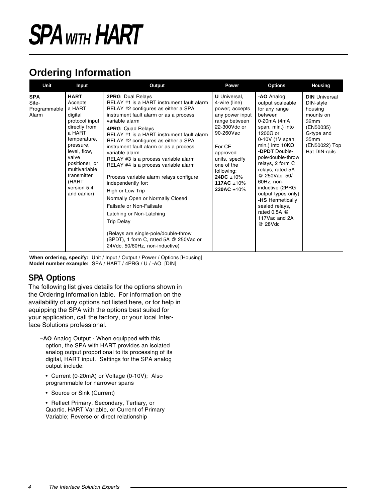# **Ordering Information**

| Unit                                         | Input                                                                                                                                                                                                                                    | Output                                                                                                                                                                                                                                                                                                                                                                                                                                                                                                                                                                                                                                                                                                                                                       | Power                                                                                                                                                                                                                                                  | <b>Options</b>                                                                                                                                                                                                                                                                                                                                                                                                 | <b>Housing</b>                                                                                                                         |
|----------------------------------------------|------------------------------------------------------------------------------------------------------------------------------------------------------------------------------------------------------------------------------------------|--------------------------------------------------------------------------------------------------------------------------------------------------------------------------------------------------------------------------------------------------------------------------------------------------------------------------------------------------------------------------------------------------------------------------------------------------------------------------------------------------------------------------------------------------------------------------------------------------------------------------------------------------------------------------------------------------------------------------------------------------------------|--------------------------------------------------------------------------------------------------------------------------------------------------------------------------------------------------------------------------------------------------------|----------------------------------------------------------------------------------------------------------------------------------------------------------------------------------------------------------------------------------------------------------------------------------------------------------------------------------------------------------------------------------------------------------------|----------------------------------------------------------------------------------------------------------------------------------------|
| <b>SPA</b><br>Site-<br>Programmable<br>Alarm | <b>HART</b><br>Accepts<br>a HART<br>digital<br>protocol input<br>directly from<br>a HART<br>temperature,<br>pressure,<br>level, flow,<br>valve<br>positioner, or<br>multivariable<br>transmitter<br>(HART<br>version 5.4<br>and earlier) | <b>2PRG</b> Dual Relays<br>RELAY #1 is a HART instrument fault alarm<br>RELAY #2 configures as either a SPA<br>instrument fault alarm or as a process<br>variable alarm<br><b>4PRG</b> Quad Relays<br>RELAY #1 is a HART instrument fault alarm<br>RELAY #2 configures as either a SPA<br>instrument fault alarm or as a process<br>variable alarm<br>RELAY #3 is a process variable alarm<br>RELAY #4 is a process variable alarm<br>Process variable alarm relays configure<br>independently for:<br>High or Low Trip<br>Normally Open or Normally Closed<br>Failsafe or Non-Failsafe<br>Latching or Non-Latching<br><b>Trip Delay</b><br>(Relays are single-pole/double-throw<br>(SPDT), 1 form C, rated 5A @ 250Vac or<br>24Vdc, 50/60Hz, non-inductive) | <b>U</b> Universal,<br>4-wire (line)<br>power; accepts<br>any power input<br>range between<br>22-300Vdc or<br>90-260Vac<br>For CE<br>approved<br>units, specify<br>one of the<br>following:<br>24DC $\pm 10\%$<br>117AC $\pm 10\%$<br>230AC $\pm 10\%$ | -AO Analog<br>output scaleable<br>for any range<br>between<br>0-20mA (4mA<br>span, min.) into<br>1200 $\Omega$ or<br>0-10V (1V span,<br>min.) into $10K\Omega$<br>- <b>DPDT</b> Double-<br>pole/double-throw<br>relays, 2 form C<br>relays, rated 5A<br>@ 250Vac, 50/<br>60Hz, non-<br>inductive (2PRG<br>output types only)<br>-HS Hermetically<br>sealed relays,<br>rated 0.5A @<br>117Vac and 2A<br>@ 28Vdc | <b>DIN</b> Universal<br>DIN-style<br>housing<br>mounts on<br>32mm<br>(EN50035)<br>G-type and<br>35mm<br>(EN50022) Top<br>Hat DIN-rails |

**When ordering, specify:** Unit / Input / Output / Power / Options [Housing] **Model number example:** SPA / HART / 4PRG / U / -AO [DIN]

### **SPA Options**

The following list gives details for the options shown in the Ordering Information table. For information on the availability of any options not listed here, or for help in equipping the SPA with the options best suited for your application, call the factory, or your local Interface Solutions professional.

- **–AO** Analog Output When equipped with this option, the SPA with HART provides an isolated analog output proportional to its processing of its digital, HART input. Settings for the SPA analog output include:
	- Current (0-20mA) or Voltage (0-10V); Also programmable for narrower spans
	- Source or Sink (Current)

• Reflect Primary, Secondary, Tertiary, or Quartic, HART Variable, or Current of Primary Variable; Reverse or direct relationship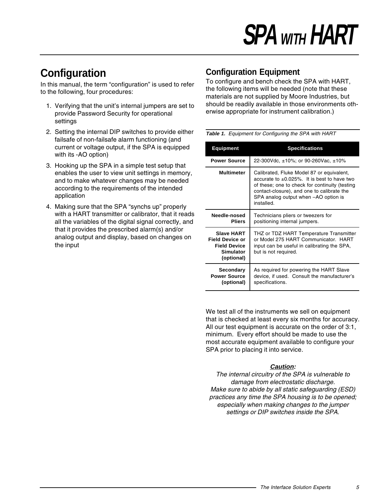# **Configuration**

In this manual, the term "configuration" is used to refer to the following, four procedures:

- 1. Verifying that the unit's internal jumpers are set to provide Password Security for operational settings
- 2. Setting the internal DIP switches to provide either failsafe of non-failsafe alarm functioning (and current or voltage output, if the SPA is equipped with its -AO option)
- 3. Hooking up the SPA in a simple test setup that enables the user to view unit settings in memory, and to make whatever changes may be needed according to the requirements of the intended application
- 4. Making sure that the SPA "synchs up" properly with a HART transmitter or calibrator, that it reads all the variables of the digital signal correctly, and that it provides the prescribed alarm(s) and/or analog output and display, based on changes on the input

### **Configuration Equipment**

To configure and bench check the SPA with HART, the following items will be needed (note that these materials are not supplied by Moore Industries, but should be readily available in those environments otherwise appropriate for instrument calibration.)

**Table 1.** Equipment for Configuring the SPA with HART

| <b>Equipment</b>                                                                              | <b>Specifications</b>                                                                                                                                                                                                                                 |
|-----------------------------------------------------------------------------------------------|-------------------------------------------------------------------------------------------------------------------------------------------------------------------------------------------------------------------------------------------------------|
| <b>Power Source</b>                                                                           | 22-300Vdc, $\pm 10\%$ ; or 90-260Vac, $\pm 10\%$                                                                                                                                                                                                      |
| <b>Multimeter</b>                                                                             | Calibrated, Fluke Model 87 or equivalent,<br>accurate to $\pm 0.025\%$ . It is best to have two<br>of these; one to check for continuity (testing<br>contact-closure), and one to calibrate the<br>SPA analog output when -AO option is<br>installed. |
| Needle-nosed<br><b>Pliers</b>                                                                 | Technicians pliers or tweezers for<br>positioning internal jumpers.                                                                                                                                                                                   |
| <b>Slave HART</b><br><b>Field Device or</b><br><b>Field Device</b><br>Simulator<br>(optional) | THZ or TDZ HART Temperature Transmitter<br>or Model 275 HART Communicator. HART<br>input can be useful in calibrating the SPA,<br>but is not required.                                                                                                |
| Secondary<br><b>Power Source</b><br>(optional)                                                | As required for powering the HART Slave<br>device, if used. Consult the manufacturer's<br>specifications.                                                                                                                                             |

We test all of the instruments we sell on equipment that is checked at least every six months for accuracy. All our test equipment is accurate on the order of 3:1, minimum. Every effort should be made to use the most accurate equipment available to configure your SPA prior to placing it into service.

### **Caution:**

The internal circuitry of the SPA is vulnerable to damage from electrostatic discharge. Make sure to abide by all static safeguarding (ESD) practices any time the SPA housing is to be opened; especially when making changes to the jumper settings or DIP switches inside the SPA.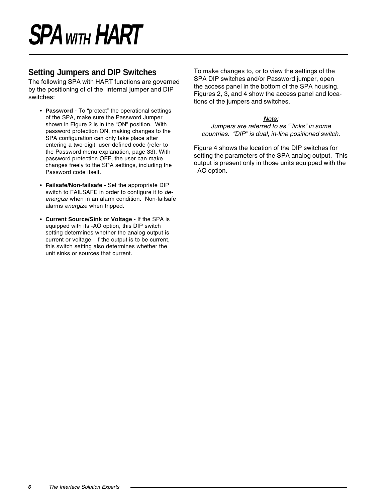### **Setting Jumpers and DIP Switches**

The following SPA with HART functions are governed by the positioning of of the internal jumper and DIP switches:

- **Password** To "protect" the operational settings of the SPA, make sure the Password Jumper shown in Figure 2 is in the "ON" position. With password protection ON, making changes to the SPA configuration can only take place after entering a two-digit, user-defined code (refer to the Password menu explanation, page 33). With password protection OFF, the user can make changes freely to the SPA settings, including the Password code itself.
- **Failsafe/Non-failsafe**  Set the appropriate DIP switch to FAILSAFE in order to configure it to deenergize when in an alarm condition. Non-failsafe alarms energize when tripped.
- **Current Source/Sink or Voltage** If the SPA is equipped with its -AO option, this DIP switch setting determines whether the analog output is current or voltage. If the output is to be current, this switch setting also determines whether the unit sinks or sources that current.

To make changes to, or to view the settings of the SPA DIP switches and/or Password jumper, open the access panel in the bottom of the SPA housing. Figures 2, 3, and 4 show the access panel and locations of the jumpers and switches.

### Note:

#### Jumpers are referred to as ""links" in some countries. "DIP" is dual, in-line positioned switch.

Figure 4 shows the location of the DIP switches for setting the parameters of the SPA analog output. This output is present only in those units equipped with the –AO option.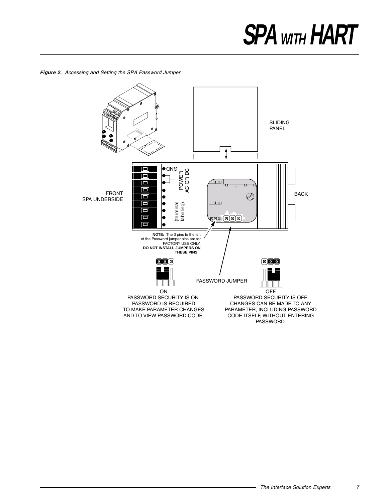**Figure 2.** Accessing and Setting the SPA Password Jumper

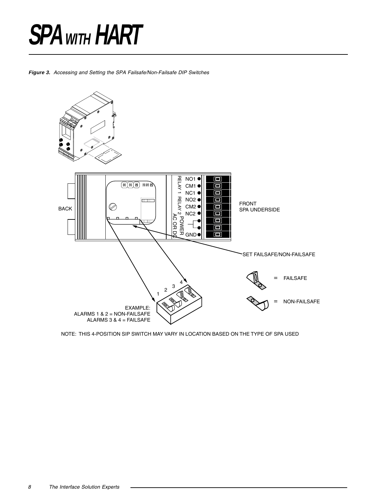**Figure 3.** Accessing and Setting the SPA Failsafe/Non-Failsafe DIP Switches



NOTE: THIS 4-POSITION SIP SWITCH MAY VARY IN LOCATION BASED ON THE TYPE OF SPA USED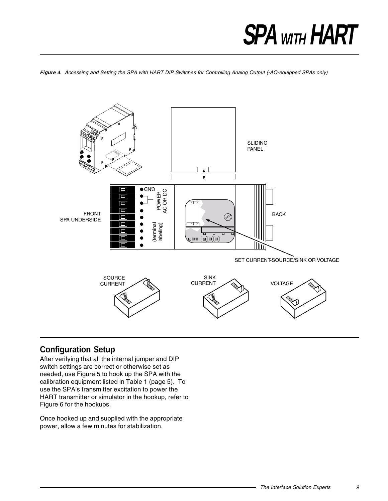**Figure 4.** Accessing and Setting the SPA with HART DIP Switches for Controlling Analog Output (-AO-equipped SPAs only)



### **Configuration Setup**

After verifying that all the internal jumper and DIP switch settings are correct or otherwise set as needed, use Figure 5 to hook up the SPA with the calibration equipment listed in Table 1 (page 5). To use the SPA's transmitter excitation to power the HART transmitter or simulator in the hookup, refer to Figure 6 for the hookups.

Once hooked up and supplied with the appropriate power, allow a few minutes for stabilization.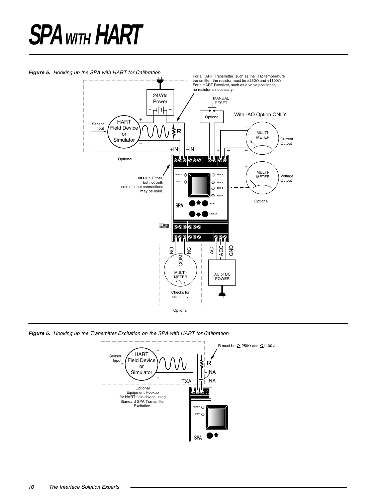#### Figure 5. Hooking up the SPA with HART for Calibration



**Figure 6.** Hooking up the Transmitter Excitation on the SPA with HART for Calibration



10 The Interface Solution Experts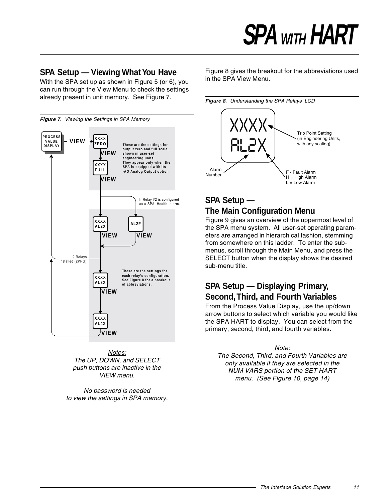### **SPA Setup — Viewing What You Have**

With the SPA set up as shown in Figure 5 (or 6), you can run through the View Menu to check the settings already present in unit memory. See Figure 7.



Notes: The UP, DOWN, and SELECT push buttons are inactive in the VIEW menu.

No password is needed to view the settings in SPA memory. Figure 8 gives the breakout for the abbreviations used in the SPA View Menu.





## **SPA Setup — The Main Configuration Menu**

Figure 9 gives an overview of the uppermost level of the SPA menu system. All user-set operating parameters are arranged in hierarchical fashion, stemming from somewhere on this ladder. To enter the submenus, scroll through the Main Menu, and press the SELECT button when the display shows the desired sub-menu title.

### **SPA Setup — Displaying Primary, Second, Third, and Fourth Variables**

From the Process Value Display, use the up/down arrow buttons to select which variable you would like the SPA HART to display. You can select from the primary, second, third, and fourth variables.

#### Note:

The Second, Third, and Fourth Variables are only available if they are selected in the NUM VARS portion of the SET HART menu. (See Figure 10, page 14)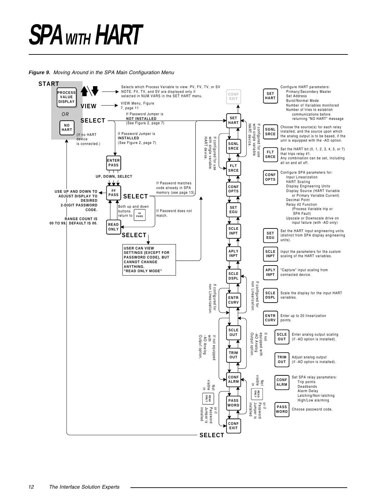#### **Figure 9.** Moving Around in the SPA Main Configuration Menu

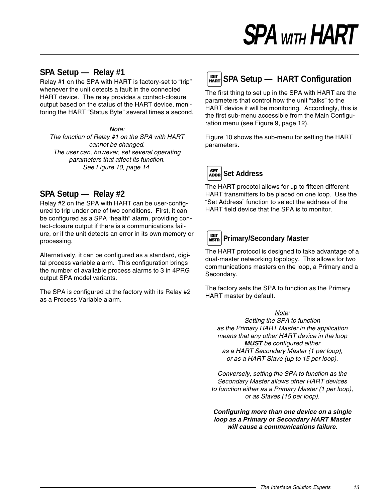### **SPA Setup — Relay #1**

Relay #1 on the SPA with HART is factory-set to "trip" whenever the unit detects a fault in the connected HART device. The relay provides a contact-closure output based on the status of the HART device, monitoring the HART "Status Byte" several times a second.

Note: The function of Relay #1 on the SPA with HART cannot be changed. The user can, however, set several operating parameters that affect its function. See Figure 10, page 14.

### **SPA Setup — Relay #2**

Relay #2 on the SPA with HART can be user-configured to trip under one of two conditions. First, it can be configured as a SPA "health" alarm, providing contact-closure output if there is a communications failure, or if the unit detects an error in its own memory or processing.

Alternatively, it can be configured as a standard, digital process variable alarm. This configuration brings the number of available process alarms to 3 in 4PRG output SPA model variants.

The SPA is configured at the factory with its Relay #2 as a Process Variable alarm.

# **SET SPA Setup — HART Configuration**

The first thing to set up in the SPA with HART are the parameters that control how the unit "talks" to the HART device it will be monitoring. Accordingly, this is the first sub-menu accessible from the Main Configuration menu (see Figure 9, page 12).

Figure 10 shows the sub-menu for setting the HART parameters.



The HART procotol allows for up to fifteen different HART transmitters to be placed on one loop. Use the "Set Address" function to select the address of the HART field device that the SPA is to monitor.



The HART protocol is designed to take advantage of a dual-master networking topology. This allows for two communications masters on the loop, a Primary and a Secondary.

The factory sets the SPA to function as the Primary HART master by default.

#### Note:

Setting the SPA to function as the Primary HART Master in the application means that any other HART device in the loop **MUST** be configured either as a HART Secondary Master (1 per loop), or as a HART Slave (up to 15 per loop).

Conversely, setting the SPA to function as the Secondary Master allows other HART devices to function either as a Primary Master (1 per loop), or as Slaves (15 per loop).

**Configuring more than one device on a single loop as a Primary or Secondary HART Master will cause a communications failure.**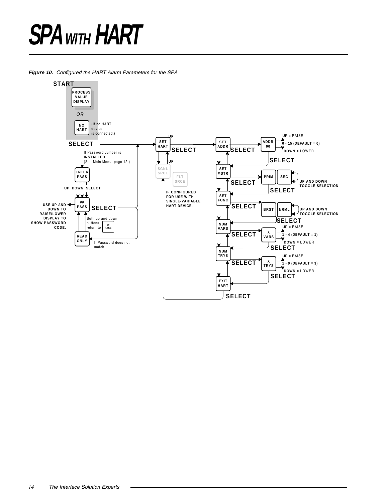**Figure 10.** Configured the HART Alarm Parameters for the SPA

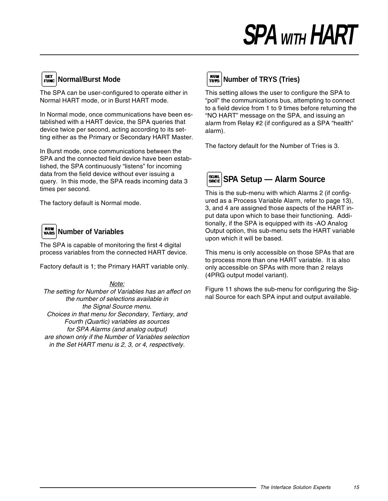# **SET** Normal/Burst Mode

The SPA can be user-configured to operate either in Normal HART mode, or in Burst HART mode.

In Normal mode, once communications have been established with a HART device, the SPA queries that device twice per second, acting according to its setting either as the Primary or Secondary HART Master.

In Burst mode, once communications between the SPA and the connected field device have been established, the SPA continuously "listens" for incoming data from the field device without ever issuing a query. In this mode, the SPA reads incoming data 3 times per second.

The factory default is Normal mode.

## **Number of Variables**

The SPA is capable of monitoring the first 4 digital process variables from the connected HART device.

Factory default is 1; the Primary HART variable only.

Note: The setting for Number of Variables has an affect on the number of selections available in the Signal Source menu. Choices in that menu for Secondary, Tertiary, and Fourth (Quartic) variables as sources for SPA Alarms (and analog output) are shown only if the Number of Variables selection in the Set HART menu is 2, 3, or 4, respectively.

# **NUM** Number of TRYS (Tries)

This setting allows the user to configure the SPA to "poll" the communications bus, attempting to connect to a field device from 1 to 9 times before returning the "NO HART" message on the SPA, and issuing an alarm from Relay #2 (if configured as a SPA "health" alarm).

The factory default for the Number of Tries is 3.



This is the sub-menu with which Alarms 2 (if configured as a Process Variable Alarm, refer to page 13), 3, and 4 are assigned those aspects of the HART input data upon which to base their functioning. Additionally, if the SPA is equipped with its -AO Analog Output option, this sub-menu sets the HART variable upon which it will be based.

This menu is only accessible on those SPAs that are to process more than one HART variable. It is also only accessible on SPAs with more than 2 relays (4PRG output model variant).

Figure 11 shows the sub-menu for configuring the Signal Source for each SPA input and output available.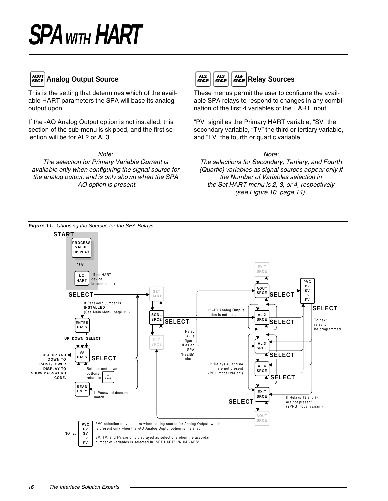

### **Analog Output Source**

This is the setting that determines which of the available HART parameters the SPA will base its analog output upon.

If the -AO Analog Output option is not installed, this section of the sub-menu is skipped, and the first selection will be for AL2 or AL3.

#### Note:

The selection for Primary Variable Current is available only when configuring the signal source for the analog output, and is only shown when the SPA –AO option is present.



These menus permit the user to configure the available SPA relays to respond to changes in any combination of the first 4 variables of the HART input.

"PV" signifies the Primary HART variable, "SV" the secondary variable, "TV" the third or tertiary variable, and "FV" the fourth or quartic variable.

Note:

The selections for Secondary, Tertiary, and Fourth (Quartic) variables as signal sources appear only if the Number of Variables selection in the Set HART menu is 2, 3, or 4, respectively (see Figure 10, page 14).

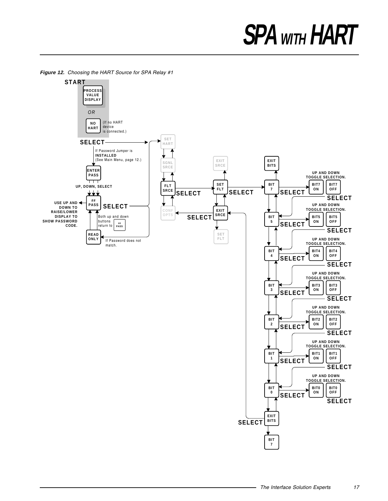

**Figure 12.** Choosing the HART Source for SPA Relay #1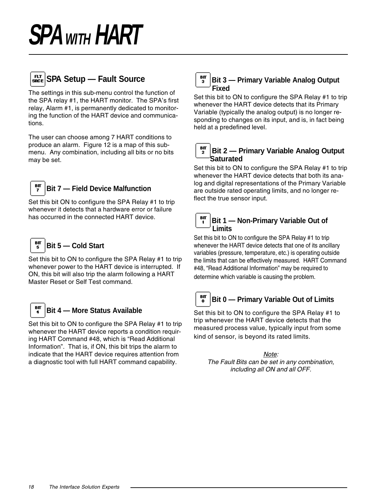

The settings in this sub-menu control the function of the SPA relay #1, the HART monitor. The SPA's first relay, Alarm #1, is permanently dedicated to monitoring the function of the HART device and communications.

The user can choose among 7 HART conditions to produce an alarm. Figure 12 is a map of this submenu. Any combination, including all bits or no bits may be set.



### **Bit 7 — Field Device Malfunction**

Set this bit ON to configure the SPA Relay #1 to trip whenever it detects that a hardware error or failure has occurred in the connected HART device.



Set this bit to ON to configure the SPA Relay #1 to trip whenever power to the HART device is interrupted. If ON, this bit will also trip the alarm following a HART Master Reset or Self Test command.



### **Bit 4 — More Status Available**

Set this bit to ON to configure the SPA Relay #1 to trip whenever the HART device reports a condition requiring HART Command #48, which is "Read Additional Information". That is, if ON, this bit trips the alarm to indicate that the HART device requires attention from a diagnostic tool with full HART command capability.

#### $B<sub>II</sub>$ **Bit 3 — Primary Variable Analog Output** з **Fixed**

Set this bit to ON to configure the SPA Relay #1 to trip whenever the HART device detects that its Primary Variable (typically the analog output) is no longer responding to changes on its input, and is, in fact being held at a predefined level.

#### BП **Bit 2 — Primary Variable Analog Output Saturated**

Set this bit to ON to configure the SPA Relay #1 to trip whenever the HART device detects that both its analog and digital representations of the Primary Variable are outside rated operating limits, and no longer reflect the true sensor input.



Set this bit to ON to configure the SPA Relay #1 to trip whenever the HART device detects that one of its ancillary variables (pressure, temperature, etc.) is operating outside the limits that can be effectively measured. HART Command #48, "Read Additional Information" may be required to determine which variable is causing the problem.



Set this bit to ON to configure the SPA Relay #1 to trip whenever the HART device detects that the measured process value, typically input from some kind of sensor, is beyond its rated limits.

Note: The Fault Bits can be set in any combination, including all ON and all OFF.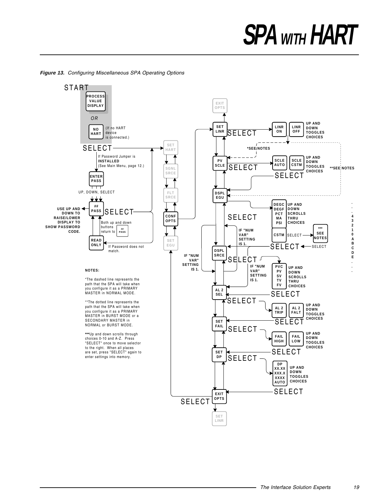

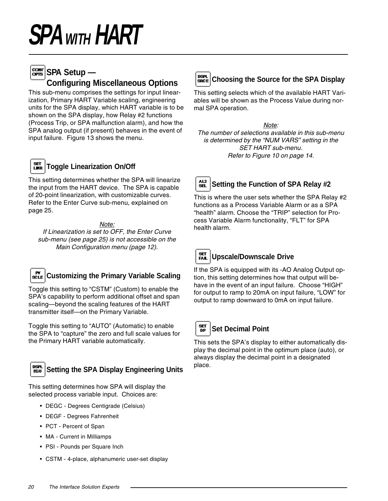## **SPA Setup** —  **Configuring Miscellaneous Options**

This sub-menu comprises the settings for input linearization, Primary HART Variable scaling, engineering units for the SPA display, which HART variable is to be shown on the SPA display, how Relay #2 functions (Process Trip, or SPA malfunction alarm), and how the SPA analog output (if present) behaves in the event of input failure. Figure 13 shows the menu.



### **Toggle Linearization On/Off**

This setting determines whether the SPA will linearize the input from the HART device. The SPA is capable of 20-point linearization, with customizable curves. Refer to the Enter Curve sub-menu, explained on page 25.

### Note:

If Linearization is set to OFF, the Enter Curve sub-menu (see page 25) is not accessible on the Main Configuration menu (page 12).



Toggle this setting to "CSTM" (Custom) to enable the SPA's capability to perform additional offset and span scaling—beyond the scaling features of the HART transmitter itself—on the Primary Variable.

Toggle this setting to "AUTO" (Automatic) to enable the SPA to "capture" the zero and full scale values for the Primary HART variable automatically.



### **Setting the SPA Display Engineering Units**

This setting determines how SPA will display the selected process variable input. Choices are:

- DEGC Degrees Centigrade (Celsius)
- DEGF Degrees Fahrenheit
- PCT Percent of Span
- MA Current in Milliamps
- PSI Pounds per Square Inch
- CSTM 4-place, alphanumeric user-set display



This setting selects which of the available HART Variables will be shown as the Process Value during normal SPA operation.

### Note:

The number of selections available in this sub-menu is determined by the "NUM VARS" setting in the SET HART sub-menu. Refer to Figure 10 on page 14.



### **Setting the Function of SPA Relay #2**

This is where the user sets whether the SPA Relay #2 functions as a Process Variable Alarm or as a SPA "health" alarm. Choose the "TRIP" selection for Process Variable Alarm functionality, "FLT" for SPA health alarm.



### **Upscale/Downscale Drive**

If the SPA is equipped with its -AO Analog Output option, this setting determines how that output will behave in the event of an input failure. Choose "HIGH" for output to ramp to 20mA on input failure, "LOW" for output to ramp downward to 0mA on input failure.

#### SET **Set Decimal Point**  $\overline{DP}$

This sets the SPA's display to either automatically display the decimal point in the optimum place (auto), or always display the decimal point in a designated place.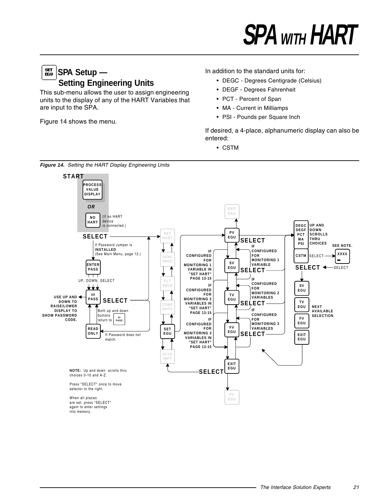### SET<br>EGU **SPA Setup — Setting Engineering Units**

This sub-menu allows the user to assign engineering units to the display of any of the HART Variables that are input to the SPA.

Figure 14 shows the menu.

### In addition to the standard units for:

- DEGC Degrees Centigrade (Celsius)
- DEGF Degrees Fahrenheit
- PCT Percent of Span
- MA Current in Milliamps
- PSI Pounds per Square Inch

If desired, a 4-place, alphanumeric display can also be entered:

• CSTM



**Figure 14.** Setting the HART Display Engineering Units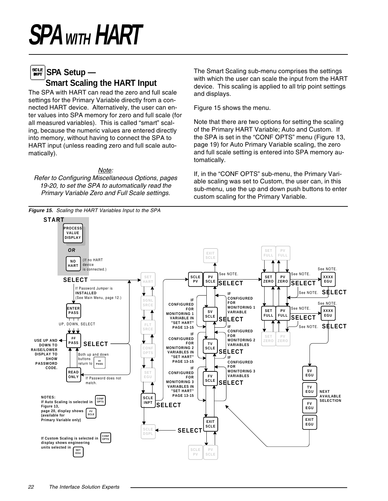**MPT** 

#### SCLE **SPA Setup — Smart Scaling the HART Input**

The SPA with HART can read the zero and full scale settings for the Primary Variable directly from a connected HART device. Alternatively, the user can enter values into SPA memory for zero and full scale (for all measured variables). This is called "smart" scaling, because the numeric values are entered directly into memory, without having to connect the SPA to HART input (unless reading zero and full scale automatically).

#### Note:

Refer to Configuring Miscellaneous Options, pages 19-20, to set the SPA to automatically read the Primary Variable Zero and Full Scale settings.

The Smart Scaling sub-menu comprises the settings with which the user can scale the input from the HART device. This scaling is applied to all trip point settings and displays.

Figure 15 shows the menu.

Note that there are two options for setting the scaling of the Primary HART Variable; Auto and Custom. If the SPA is set in the "CONF OPTS" menu (Figure 13, page 19) for Auto Primary Variable scaling, the zero and full scale setting is entered into SPA memory automatically.

If, in the "CONF OPTS" sub-menu, the Primary Variable scaling was set to Custom, the user can, in this sub-menu, use the up and down push buttons to enter custom scaling for the Primary Variable.

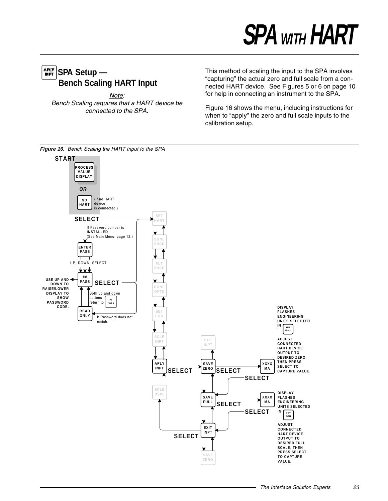## $\frac{APLT}{MPT}$ SPA Setup — **Bench Scaling HART Input**

Note: Bench Scaling requires that a HART device be connected to the SPA.

This method of scaling the input to the SPA involves "capturing" the actual zero and full scale from a connected HART device. See Figures 5 or 6 on page 10 for help in connecting an instrument to the SPA.

Figure 16 shows the menu, including instructions for when to "apply" the zero and full scale inputs to the calibration setup.

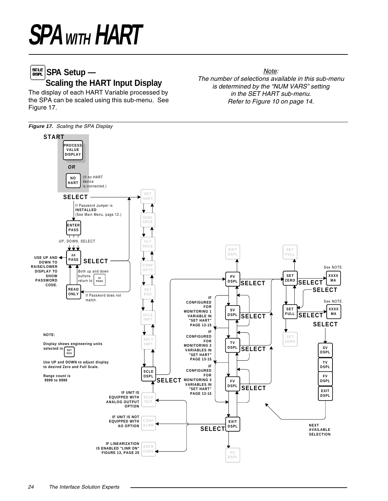## **SPA Setup — Scaling the HART Input Display**

The display of each HART Variable processed by the SPA can be scaled using this sub-menu. See Figure 17.

Note: The number of selections available in this sub-menu is determined by the "NUM VARS" setting in the SET HART sub-menu. Refer to Figure 10 on page 14.

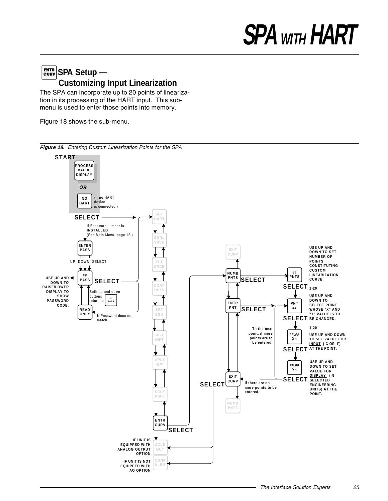## $\left[\frac{B TIR}{C U R V}\right]$ SPA Setup — **Customizing Input Linearization**

The SPA can incorporate up to 20 points of linearization in its processing of the HART input. This submenu is used to enter those points into memory.

Figure 18 shows the sub-menu.

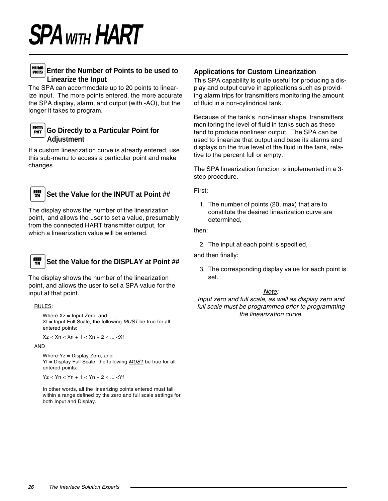

### **Enter the Number of Points to be used to Linearize the Input**

The SPA can accommodate up to 20 points to linearize input. The more points entered, the more accurate the SPA display, alarm, and output (with -AO), but the longer it takes to program.



If a custom linearization curve is already entered, use this sub-menu to access a particular point and make changes.



### **Set the Value for the INPUT at Point ##**

The display shows the number of the linearization point, and allows the user to set a value, presumably from the connected HART transmitter output, for which a linearization value will be entered.



### **Set the Value for the DISPLAY at Point ##**

The display shows the number of the linearization point, and allows the user to set a SPA value for the input at that point.

RULES:

Where  $Xz =$  Input Zero, and  $Xf$  = Input Full Scale, the following  $MUST$  be true for all entered points:

 $Xz < Xn < Xn + 1 < Xn + 2 < ... < Xf$ 

#### AND

Where Yz = Display Zero, and Yf = Display Full Scale, the following **MUST** be true for all entered points:

Yz < Yn < Yn + 1 < Yn + 2 < ... <Yf

In other words, all the linearizing points entered must fall within a range defined by the zero and full scale settings for both Input and Display.

### **Applications for Custom Linearization**

This SPA capability is quite useful for producing a display and output curve in applications such as providing alarm trips for transmitters monitoring the amount of fluid in a non-cylindrical tank.

Because of the tank's non-linear shape, transmitters monitoring the level of fluid in tanks such as these tend to produce nonlinear output. The SPA can be used to linearize that output and base its alarms and displays on the true level of the fluid in the tank, relative to the percent full or empty.

The SPA linearization function is implemented in a 3 step procedure.

First:

1. The number of points (20, max) that are to constitute the desired linearization curve are determined,

then:

2. The input at each point is specified,

and then finally:

3. The corresponding display value for each point is set.

#### Note:

Input zero and full scale, as well as display zero and full scale must be programmed prior to programming the linearization curve.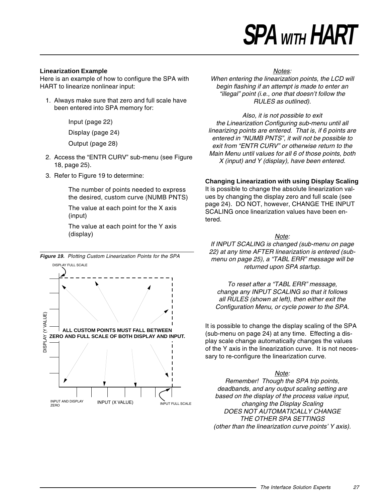#### **Linearization Example**

Here is an example of how to configure the SPA with HART to linearize nonlinear input:

1. Always make sure that zero and full scale have been entered into SPA memory for:

Input (page 22)

Display (page 24)

Output (page 28)

- 2. Access the "ENTR CURV" sub-menu (see Figure 18, page 25).
- 3. Refer to Figure 19 to determine:

The number of points needed to express the desired, custom curve (NUMB PNTS)

The value at each point for the X axis (input)

The value at each point for the Y axis (display)



#### Notes:

When entering the linearization points, the LCD will begin flashing if an attempt is made to enter an "illegal" point (i.e., one that doesn't follow the RULES as outlined).

Also, it is not possible to exit the Linearization Configuring sub-menu until all linearizing points are entered. That is, if 6 points are entered in "NUMB PNTS", it will not be possible to exit from "ENTR CURV" or otherwise return to the Main Menu until values for all 6 of those points, both X (input) and Y (display), have been entered.

#### **Changing Linearization with using Display Scaling**

It is possible to change the absolute linearization values by changing the display zero and full scale (see page 24). DO NOT, however, CHANGE THE INPUT SCALING once linearization values have been entered.

#### Note:

If INPUT SCALING is changed (sub-menu on page 22) at any time AFTER linearization is entered (submenu on page 25), a "TABL ERR" message will be returned upon SPA startup.

To reset after a "TABL ERR" message, change any INPUT SCALING so that it follows all RULES (shown at left), then either exit the Configuration Menu, or cycle power to the SPA.

It is possible to change the display scaling of the SPA (sub-menu on page 24) at any time. Effecting a display scale change automatically changes the values of the Y axis in the linearization curve. It is not necessary to re-configure the linearization curve.

#### Note:

Remember! Though the SPA trip points, deadbands, and any output scaling setting are based on the display of the process value input, changing the Display Scaling DOES NOT AUTOMATICALLY CHANGE THE OTHER SPA SETTINGS (other than the linearization curve points' Y axis).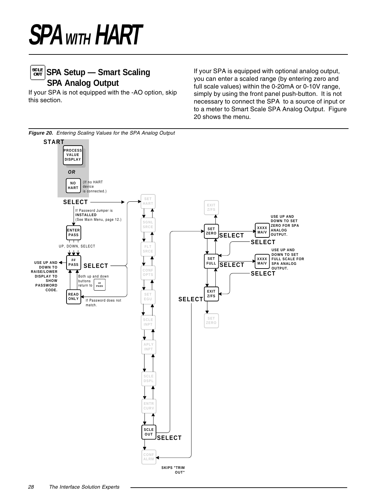## **SPA Setup — Smart Scaling SPA Analog Output**

If your SPA is not equipped with the -AO option, skip this section.

If your SPA is equipped with optional analog output, you can enter a scaled range (by entering zero and full scale values) within the 0-20mA or 0-10V range, simply by using the front panel push-button. It is not necessary to connect the SPA to a source of input or to a meter to Smart Scale SPA Analog Output. Figure 20 shows the menu.



**Figure 20.** Entering Scaling Values for the SPA Analog Output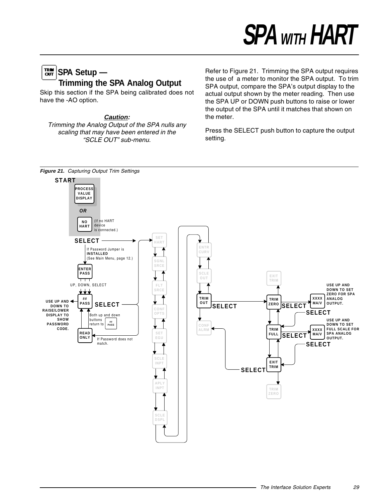## **SPA Setup — Trimming the SPA Analog Output**

Skip this section if the SPA being calibrated does not have the -AO option.

**Caution:** Trimming the Analog Output of the SPA nulls any scaling that may have been entered in the "SCLE OUT" sub-menu.

Refer to Figure 21. Trimming the SPA output requires the use of a meter to monitor the SPA output. To trim SPA output, compare the SPA's output display to the actual output shown by the meter reading. Then use the SPA UP or DOWN push buttons to raise or lower the output of the SPA until it matches that shown on the meter.

Press the SELECT push button to capture the output setting.

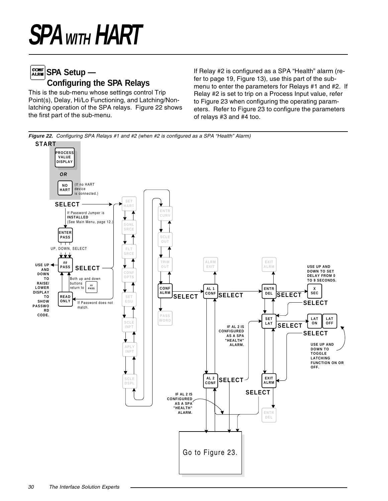## **SPA Setup** — **Configuring the SPA Relays**

This is the sub-menu whose settings control Trip Point(s), Delay, Hi/Lo Functioning, and Latching/Nonlatching operation of the SPA relays. Figure 22 shows the first part of the sub-menu.

If Relay #2 is configured as a SPA "Health" alarm (refer to page 19, Figure 13), use this part of the submenu to enter the parameters for Relays #1 and #2. If Relay #2 is set to trip on a Process Input value, refer to Figure 23 when configuring the operating parameters. Refer to Figure 23 to configure the parameters of relays #3 and #4 too.

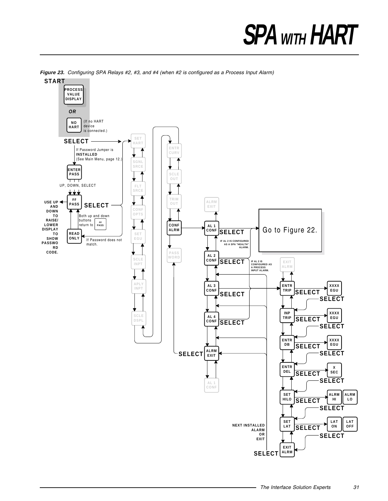

**Figure 23.** Configuring SPA Relays #2, #3, and #4 (when #2 is configured as a Process Input Alarm)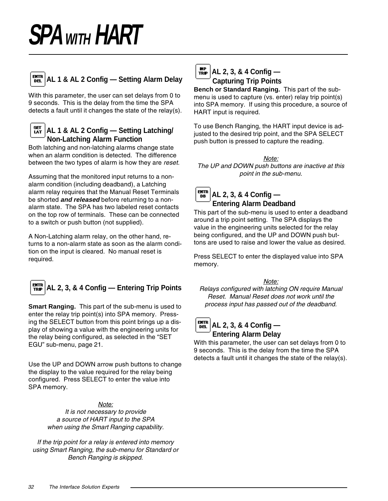

### **AL 1 & AL 2 Config — Setting Alarm Delay**

With this parameter, the user can set delays from 0 to 9 seconds. This is the delay from the time the SPA detects a fault until it changes the state of the relay(s).

### **AL 1 & AL 2 Config — Setting Latching/ Non-Latching Alarm Function**

Both latching and non-latching alarms change state when an alarm condition is detected. The difference between the two types of alarm is how they are reset.

Assuming that the monitored input returns to a nonalarm condition (including deadband), a Latching alarm relay requires that the Manual Reset Terminals be shorted **and released** before returning to a nonalarm state. The SPA has two labeled reset contacts on the top row of terminals. These can be connected to a switch or push button (not supplied).

A Non-Latching alarm relay, on the other hand, returns to a non-alarm state as soon as the alarm condition on the input is cleared. No manual reset is required.

# **AL 2, 3, & 4 Config — Entering Trip Points**

**Smart Ranging.** This part of the sub-menu is used to enter the relay trip point(s) into SPA memory. Pressing the SELECT button from this point brings up a display of showing a value with the engineering units for the relay being configured, as selected in the "SET EGU" sub-menu, page 21.

Use the UP and DOWN arrow push buttons to change the display to the value required for the relay being configured. Press SELECT to enter the value into SPA memory.

#### Note:

It is not necessary to provide a source of HART input to the SPA when using the Smart Ranging capability.

If the trip point for a relay is entered into memory using Smart Ranging, the sub-menu for Standard or Bench Ranging is skipped.



## **AL 2, 3, & 4 Config — Capturing Trip Points**

**Bench or Standard Ranging.** This part of the submenu is used to capture (vs. enter) relay trip point(s) into SPA memory. If using this procedure, a source of HART input is required.

To use Bench Ranging, the HART input device is adjusted to the desired trip point, and the SPA SELECT push button is pressed to capture the reading.

Note: The UP and DOWN push buttons are inactive at this point in the sub-menu.

#### entr<br>DB **AL 2, 3, & 4 Config — Entering Alarm Deadband**

This part of the sub-menu is used to enter a deadband around a trip point setting. The SPA displays the value in the engineering units selected for the relay being configured, and the UP and DOWN push buttons are used to raise and lower the value as desired.

Press SELECT to enter the displayed value into SPA memory.

Note:

Relays configured with latching ON require Manual Reset. Manual Reset does not work until the process input has passed out of the deadband.

#### **ENTR AL 2, 3, & 4 Config —** D<sub>EL</sub> **Entering Alarm Delay**

With this parameter, the user can set delays from 0 to 9 seconds. This is the delay from the time the SPA detects a fault until it changes the state of the relay(s).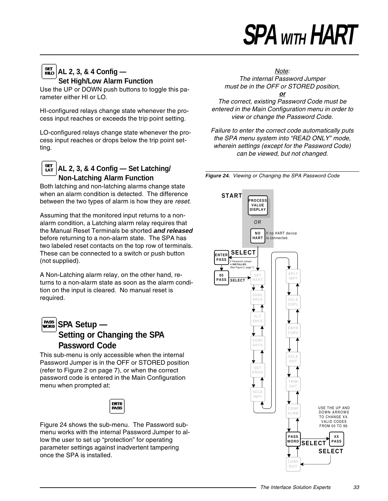## **AL 2, 3, & 4 Config — Set High/Low Alarm Function**

Use the UP or DOWN push buttons to toggle this parameter either HI or LO.

HI-configured relays change state whenever the process input reaches or exceeds the trip point setting.

LO-configured relays change state whenever the process input reaches or drops below the trip point setting.

### **AL 2, 3, & 4 Config — Set Latching/ Non-Latching Alarm Function**

Both latching and non-latching alarms change state when an alarm condition is detected. The difference between the two types of alarm is how they are reset.

Assuming that the monitored input returns to a nonalarm condition, a Latching alarm relay requires that the Manual Reset Terminals be shorted **and released** before returning to a non-alarm state. The SPA has two labeled reset contacts on the top row of terminals. These can be connected to a switch or push button (not supplied).

A Non-Latching alarm relay, on the other hand, returns to a non-alarm state as soon as the alarm condition on the input is cleared. No manual reset is required.

### **SPA Setup** — **Setting or Changing the SPA Password Code**

This sub-menu is only accessible when the internal Password Jumper is in the OFF or STORED position (refer to Figure 2 on page 7), or when the correct password code is entered in the Main Configuration menu when prompted at:



Figure 24 shows the sub-menu. The Password submenu works with the internal Password Jumper to allow the user to set up "protection" for operating parameter settings against inadvertent tampering once the SPA is installed.

Note: The internal Password Jumper must be in the OFF or STORED position,

**or** The correct, existing Password Code must be entered in the Main Configuration menu in order to view or change the Password Code.

Failure to enter the correct code automatically puts the SPA menu system into "READ ONLY" mode, wherein settings (except for the Password Code) can be viewed, but not changed.



**Figure 24.** Viewing or Changing the SPA Password Code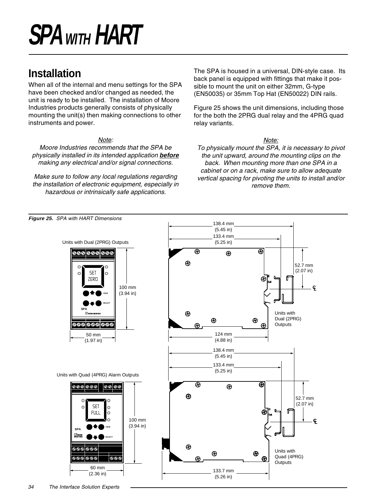# **Installation**

When all of the internal and menu settings for the SPA have been checked and/or changed as needed, the unit is ready to be installed. The installation of Moore Industries products generally consists of physically mounting the unit(s) then making connections to other instruments and power.

### Note:

Moore Industries recommends that the SPA be physically installed in its intended application **before** making any electrical and/or signal connections.

Make sure to follow any local regulations regarding the installation of electronic equipment, especially in hazardous or intrinsically safe applications.

**Figure 25.** SPA with HART Dimensions

The SPA is housed in a universal, DIN-style case. Its back panel is equipped with fittings that make it possible to mount the unit on either 32mm, G-type (EN50035) or 35mm Top Hat (EN50022) DIN rails.

Figure 25 shows the unit dimensions, including those for the both the 2PRG dual relay and the 4PRG quad relay variants.

#### Note:

To physically mount the SPA, it is necessary to pivot the unit upward, around the mounting clips on the back. When mounting more than one SPA in a cabinet or on a rack, make sure to allow adequate vertical spacing for pivoting the units to install and/or remove them.

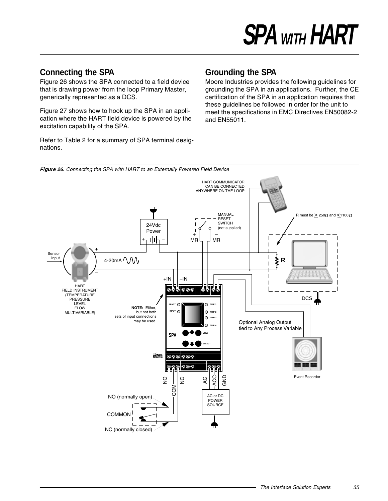### **Connecting the SPA**

Figure 26 shows the SPA connected to a field device that is drawing power from the loop Primary Master, generically represented as a DCS.

Figure 27 shows how to hook up the SPA in an application where the HART field device is powered by the excitation capability of the SPA.

Refer to Table 2 for a summary of SPA terminal designations.

### **Grounding the SPA**

Moore Industries provides the following guidelines for grounding the SPA in an applications. Further, the CE certification of the SPA in an application requires that these guidelines be followed in order for the unit to meet the specifications in EMC Directives EN50082-2 and EN55011.

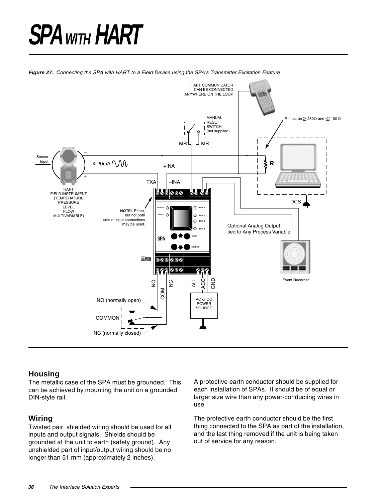**Figure 27.** Connecting the SPA with HART to a Field Device using the SPA's Transmitter Excitation Feature



### **Housing**

The metallic case of the SPA must be grounded. This can be achieved by mounting the unit on a grounded DIN-style rail.

### **Wiring**

Twisted pair, shielded wiring should be used for all inputs and output signals. Shields should be grounded at the unit to earth (safety ground). Any unshielded part of input/output wiring should be no longer than 51 mm (approximately 2 inches).

A protective earth conductor should be supplied for each installation of SPAs. It should be of equal or larger size wire than any power-conducting wires in use.

The protective earth conductor should be the first thing connected to the SPA as part of the installation, and the last thing removed if the unit is being taken out of service for any reason.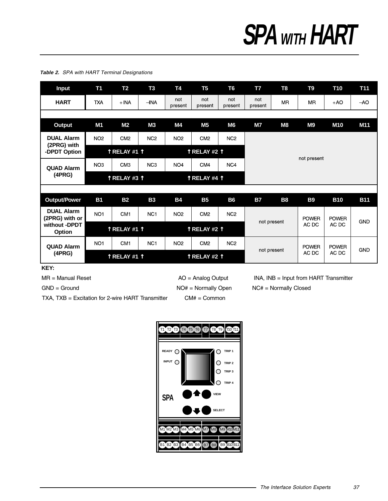#### **tupnI 1T 2T 3T 4T 5T 6T 7T 8T 9T 01T 11T** not  $not$ not not  $+AO$ **HART TXA**  $+$ INA  $-NA$ **MR MR**  $-AO$ present present present present **tuptuO 1M 2M 3M 4M 5M 6M 7M 8M 9M 01M 11M DUAL Alarm** NO<sub>2</sub> NC<sub>2</sub> NO<sub>2</sub> CM<sub>2</sub> CM<sub>2</sub> NC<sub>2</sub> (2PRG) with **noitpOTDPD-** ↑ **1#YALER** ↑ ↑ **2#YALER** ↑ not present NO<sub>3</sub> NC<sub>3</sub> CM<sub>3</sub> NO<sub>4</sub> CM4 NC4 **QUAD Alarm (4PRG)** ↑ **RELAY #3** ↑ **1 ABLAR +4 ↑ rewoP/tuptuO 1B 2B 3B 4B 5B 6B 7B 8B 9B 01B 11B DUAL Alarm** NO<sub>1</sub> CM<sub>1</sub> NC<sub>1</sub> NO<sub>2</sub> CM<sub>2</sub> NC<sub>2</sub> (2PRG) with or **POWER POWER** not present **GND**  $AC$   $DC$ AC DC without -DPDT **notic +DF +DT**<br>Option ↑ **1 ACCALERATE:** ↑ **1 ACCALER** ↑ **1 ACCALER** ↑ **1 ACCALER** ↑ **1** ACC NO<sub>1</sub> CM<sub>1</sub> NC<sub>1</sub> NO<sub>2</sub> CM<sub>2</sub> NC<sub>2</sub> **QUAD Alarm POWER POWER** GND not present **(4PRG)**<br>
↑ **RELAY #1 ↑**<br>
↑ **1 RELAY #2 ↑** AC DC AC DC

**Table 2.** SPA with HART Terminal Designations

**:YEK**

TXA,  $TXB = Excitation$  for 2-wire HART Transmitter  $CMH = \text{Common}$ 

 $GND =$  Ground  $NQ# =$  Normally Open  $NC# =$  Normally Closed

 $MR =$  Manual Reset  $A = A$ nalog Output  $A = MR$ , INA, INB = Input from HART Transmitter

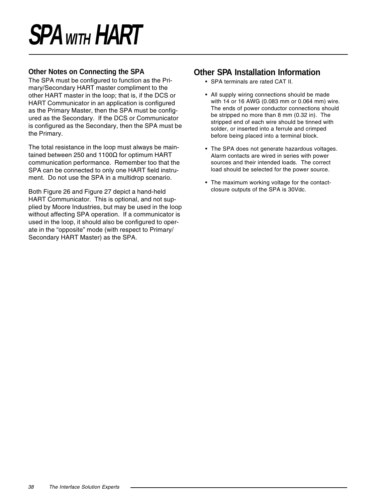### **Other Notes on Connecting the SPA**

The SPA must be configured to function as the Primary/Secondary HART master compliment to the other HART master in the loop; that is, if the DCS or HART Communicator in an application is configured as the Primary Master, then the SPA must be configured as the Secondary. If the DCS or Communicator is configured as the Secondary, then the SPA must be the Primary.

The total resistance in the loop must always be maintained between 250 and 1100Ω for optimum HART communication performance. Remember too that the SPA can be connected to only one HART field instrument. Do not use the SPA in a multidrop scenario.

Both Figure 26 and Figure 27 depict a hand-held HART Communicator. This is optional, and not supplied by Moore Industries, but may be used in the loop without affecting SPA operation. If a communicator is used in the loop, it should also be configured to operate in the "opposite" mode (with respect to Primary/ Secondary HART Master) as the SPA.

### **Other SPA Installation Information**

- SPA terminals are rated CAT II.
- All supply wiring connections should be made with 14 or 16 AWG (0.083 mm or 0.064 mm) wire. The ends of power conductor connections should be stripped no more than 8 mm (0.32 in). The stripped end of each wire should be tinned with solder, or inserted into a ferrule and crimped before being placed into a terminal block.
- The SPA does not generate hazardous voltages. Alarm contacts are wired in series with power sources and their intended loads. The correct load should be selected for the power source.
- The maximum working voltage for the contactclosure outputs of the SPA is 30Vdc.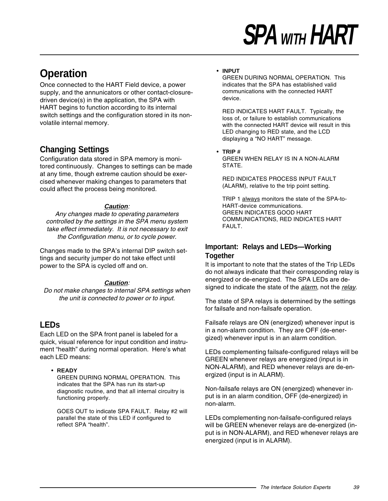# **Operation**

Once connected to the HART Field device, a power supply, and the annunicators or other contact-closuredriven device(s) in the application, the SPA with HART begins to function according to its internal switch settings and the configuration stored in its nonvolatile internal memory.

### **Changing Settings**

Configuration data stored in SPA memory is monitored continuously. Changes to settings can be made at any time, though extreme caution should be exercised whenever making changes to parameters that could affect the process being monitored.

### **Caution**:

Any changes made to operating parameters controlled by the settings in the SPA menu system take effect immediately. It is not necessary to exit the Configuration menu, or to cycle power.

Changes made to the SPA's internal DIP switch settings and security jumper do not take effect until power to the SPA is cycled off and on.

### **Caution**:

Do not make changes to internal SPA settings when the unit is connected to power or to input.

### **LEDs**

Each LED on the SPA front panel is labeled for a quick, visual reference for input condition and instrument "health" during normal operation. Here's what each LED means:

#### • **READY**

GREEN DURING NORMAL OPERATION. This indicates that the SPA has run its start-up diagnostic routine, and that all internal circuitry is functioning properly.

GOES OUT to indicate SPA FAULT. Relay #2 will parallel the state of this LED if configured to reflect SPA "health".

#### • **INPUT**

GREEN DURING NORMAL OPERATION. This indicates that the SPA has established valid communications with the connected HART device.

RED INDICATES HART FAULT. Typically, the loss of, or failure to establish communications with the connected HART device will result in this LED changing to RED state, and the LCD displaying a "NO HART" message.

#### • **TRIP #** GREEN WHEN RELAY IS IN A NON-ALARM STATE.

RED INDICATES PROCESS INPUT FAULT (ALARM), relative to the trip point setting.

TRIP 1 always monitors the state of the SPA-to-HART-device communications. GREEN INDICATES GOOD HART COMMUNICATIONS, RED INDICATES HART FAULT.

### **Important: Relays and LEDs—Working Together**

It is important to note that the states of the Trip LEDs do not always indicate that their corresponding relay is energized or de-energized. The SPA LEDs are designed to indicate the state of the *alarm*, not the *relay*.

The state of SPA relays is determined by the settings for failsafe and non-failsafe operation.

Failsafe relays are ON (energized) whenever input is in a non-alarm condition. They are OFF (de-energized) whenever input is in an alarm condition.

LEDs complementing failsafe-configured relays will be GREEN whenever relays are energized (input is in NON-ALARM), and RED whenever relays are de-energized (input is in ALARM).

Non-failsafe relays are ON (energized) whenever input is in an alarm condition, OFF (de-energized) in non-alarm.

LEDs complementing non-failsafe-configured relays will be GREEN whenever relays are de-energized (input is in NON-ALARM), and RED whenever relays are energized (input is in ALARM).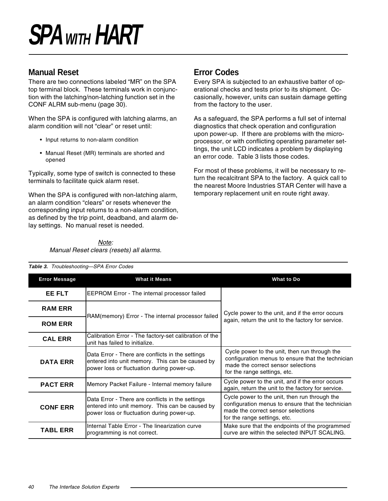### **Manual Reset**

There are two connections labeled "MR" on the SPA top terminal block. These terminals work in conjunction with the latching/non-latching function set in the CONF ALRM sub-menu (page 30).

When the SPA is configured with latching alarms, an alarm condition will not "clear" or reset until:

- Input returns to non-alarm condition
- Manual Reset (MR) terminals are shorted and opened

Typically, some type of switch is connected to these terminals to facilitate quick alarm reset.

When the SPA is configured with non-latching alarm, an alarm condition "clears" or resets whenever the corresponding input returns to a non-alarm condition, as defined by the trip point, deadband, and alarm delay settings. No manual reset is needed.

> Note: Manual Reset clears (resets) all alarms.

## **Error Codes**

Every SPA is subjected to an exhaustive batter of operational checks and tests prior to its shipment. Occasionally, however, units can sustain damage getting from the factory to the user.

As a safeguard, the SPA performs a full set of internal diagnostics that check operation and configuration upon power-up. If there are problems with the microprocessor, or with conflicting operating parameter settings, the unit LCD indicates a problem by displaying an error code. Table 3 lists those codes.

For most of these problems, it will be necessary to return the recalcitrant SPA to the factory. A quick call to the nearest Moore Industries STAR Center will have a temporary replacement unit en route right away.

| <b>Error Message</b> | <b>What it Means</b>                                                                                                                              | What to Do                                                                                                                                                               |  |
|----------------------|---------------------------------------------------------------------------------------------------------------------------------------------------|--------------------------------------------------------------------------------------------------------------------------------------------------------------------------|--|
| EE FLT               | <b>EEPROM Error - The internal processor failed</b>                                                                                               |                                                                                                                                                                          |  |
| <b>RAM ERR</b>       | RAM(memory) Error - The internal processor failed                                                                                                 | Cycle power to the unit, and if the error occurs                                                                                                                         |  |
| <b>ROM ERR</b>       |                                                                                                                                                   | again, return the unit to the factory for service.                                                                                                                       |  |
| <b>CAL ERR</b>       | Calibration Error - The factory-set calibration of the<br>unit has failed to initialize.                                                          |                                                                                                                                                                          |  |
| <b>DATA ERR</b>      | Data Error - There are conflicts in the settings<br>entered into unit memory. This can be caused by<br>power loss or fluctuation during power-up. | Cycle power to the unit, then run through the<br>configuration menus to ensure that the technician<br>made the correct sensor selections<br>for the range settings, etc. |  |
| <b>PACT ERR</b>      | Memory Packet Failure - Internal memory failure                                                                                                   | Cycle power to the unit, and if the error occurs<br>again, return the unit to the factory for service.                                                                   |  |
| <b>CONF ERR</b>      | Data Error - There are conflicts in the settings<br>entered into unit memory. This can be caused by<br>power loss or fluctuation during power-up. | Cycle power to the unit, then run through the<br>configuration menus to ensure that the technician<br>made the correct sensor selections<br>for the range settings, etc. |  |
| TABL ERR             | Internal Table Error - The linearization curve<br>programming is not correct.                                                                     | Make sure that the endpoints of the programmed<br>curve are within the selected INPUT SCALING.                                                                           |  |

**Table 3.** Troubleshooting—SPA Error Codes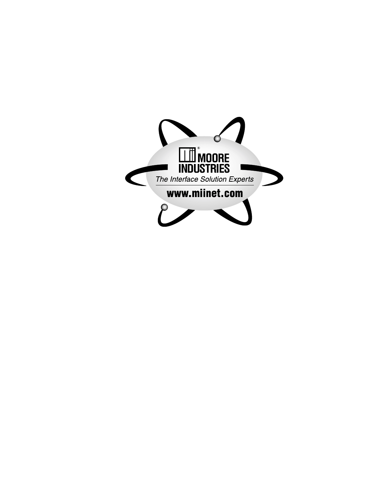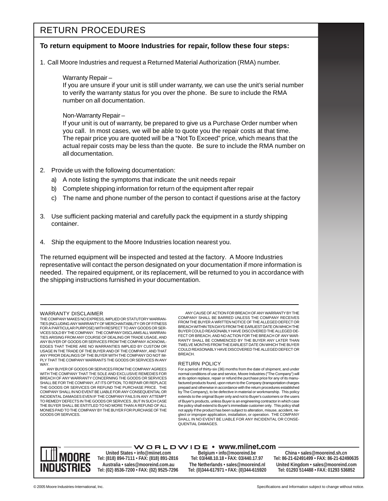### RETURN PROCEDURES

#### **To return equipment to Moore Industries for repair, follow these four steps:**

1. Call Moore Industries and request a Returned Material Authorization (RMA) number.

#### Warranty Repair –

If you are unsure if your unit is still under warranty, we can use the unit's serial number to verify the warranty status for you over the phone. Be sure to include the RMA number on all documentation.

#### Non-Warranty Repair –

If your unit is out of warranty, be prepared to give us a Purchase Order number when you call. In most cases, we will be able to quote you the repair costs at that time. The repair price you are quoted will be a "Not To Exceed" price, which means that the actual repair costs may be less than the quote. Be sure to include the RMA number on all documentation.

- 2. Provide us with the following documentation:
	- a) A note listing the symptoms that indicate the unit needs repair
	- b) Complete shipping information for return of the equipment after repair
	- c) The name and phone number of the person to contact if questions arise at the factory
- 3. Use sufficient packing material and carefully pack the equipment in a sturdy shipping container.
- 4. Ship the equipment to the Moore Industries location nearest you.

The returned equipment will be inspected and tested at the factory. A Moore Industries representative will contact the person designated on your documentation if more information is needed. The repaired equipment, or its replacement, will be returned to you in accordance with the shipping instructions furnished in your documentation.

#### WARRANTY DISCLAIMER

THE COMPANY MAKES NO EXPRESS, IMPLIED OR STATUTORY WARRAN-TIES (INCLUDING ANY WARRANTY OF MERCHANTABILITY OR OF FITNESS FOR A PARTICULAR PURPOSE) WITH RESPECT TO ANY GOODS OR SER-VICES SOLD BY THE COMPANY. THE COMPANY DISCLAIMS ALL WARRAN-TIES ARISING FROM ANY COURSE OF DEALING OR TRADE USAGE, AND ANY BUYER OF GOODS OR SERVICES FROM THE COMPANY ACKNOWL-EDGES THAT THERE ARE NO WARRANTIES IMPLIED BY CUSTOM OR USAGE IN THE TRADE OF THE BUYER AND OF THE COMPANY, AND THAT ANY PRIOR DEALINGS OF THE BUYER WITH THE COMPANY DO NOT IM-PLY THAT THE COMPANY WARRANTS THE GOODS OR SERVICES IN ANY WAY.

ANY BUYER OF GOODS OR SERVICES FROM THE COMPANY AGREES WITH THE COMPANY THAT THE SOLE AND EXCLUSIVE REMEDIES FOR BREACH OF ANY WARRANTY CONCERNING THE GOODS OR SERVICES SHALL BE FOR THE COMPANY, AT ITS OPTION, TO REPAIR OR REPLACE THE GOODS OR SERVICES OR REFUND THE PURCHASE PRICE. THE COMPANY SHALL IN NO EVENT BE LIABLE FOR ANY CONSEQUENTIAL OR INCIDENTAL DAMAGES EVEN IF THE COMPANY FAILS IN ANY ATTEMPT TO REMEDY DEFECTS IN THE GOODS OR SERVICES , BUT IN SUCH CASE THE BUYER SHALL BE ENTITLED TO NO MORE THAN A REFUND OF ALL MONIES PAID TO THE COMPANY BY THE BUYER FOR PURCHASE OF THE GOODS OR SERVICES.

ANY CAUSE OF ACTION FOR BREACH OF ANY WARRANTY BY THE COMPANY SHALL BE BARRED UNLESS THE COMPANY RECEIVES FROM THE BUYER A WRITTEN NOTICE OF THE ALLEGED DEFECT OR BREACH WITHIN TEN DAYS FROM THE EARLIEST DATE ON WHICH THE BUYER COULD REASONABLY HAVE DISCOVERED THE ALLEGED DE-FECT OR BREACH, AND NO ACTION FOR THE BREACH OF ANY WAR-RANTY SHALL BE COMMENCED BY THE BUYER ANY LATER THAN TWELVE MONTHS FROM THE EARLIEST DATE ON WHICH THE BUYER COULD REASONABLY HAVE DISCOVERED THE ALLEGED DEFECT OR BREACH.

#### RETURN POLICY

For a period of thirty-six (36) months from the date of shipment, and under normal conditions of use and service, Moore Industries ("The Company") will at its option replace, repair or refund the purchase price for any of its manufactured products found, upon return to the Company (transportation charges prepaid and otherwise in accordance with the return procedures established by The Company), to be defective in material or workmanship. This policy extends to the original Buyer only and not to Buyer's customers or the users of Buyer's products, unless Buyer is an engineering contractor in which case the policy shall extend to Buyer's immediate customer only. This policy shall not apply if the product has been subject to alteration, misuse, accident, neglect or improper application, installation, or operation. THE COMPANY SHALL IN NO EVENT BE LIABLE FOR ANY INCIDENTAL OR CONSE-QUENTIAL DAMAGES.



**United States • info@miinet.com Tel: (818) 894-7111 • FAX: (818) 891-2816 Australia • sales@mooreind.com.au Tel: (02) 8536-7200 • FAX: (02) 9525-7296** 

 $\cdot$  W O R L D W I D E  $\cdot$  www.miinet.com  $\cdot$ **Belgium • info@mooreind.be Tel: 03/448.10.18 • FAX: 03/440.17.97 The Netherlands • sales@mooreind.nl Tel: (0)344-617971 • FAX: (0)344-615920**

**China • sales@mooreind.sh.cn Tel: 86-21-62491499 • FAX: 86-21-62490635 United Kingdom • sales@mooreind.com Tel: 01293 514488 • FAX: 01293 536852**